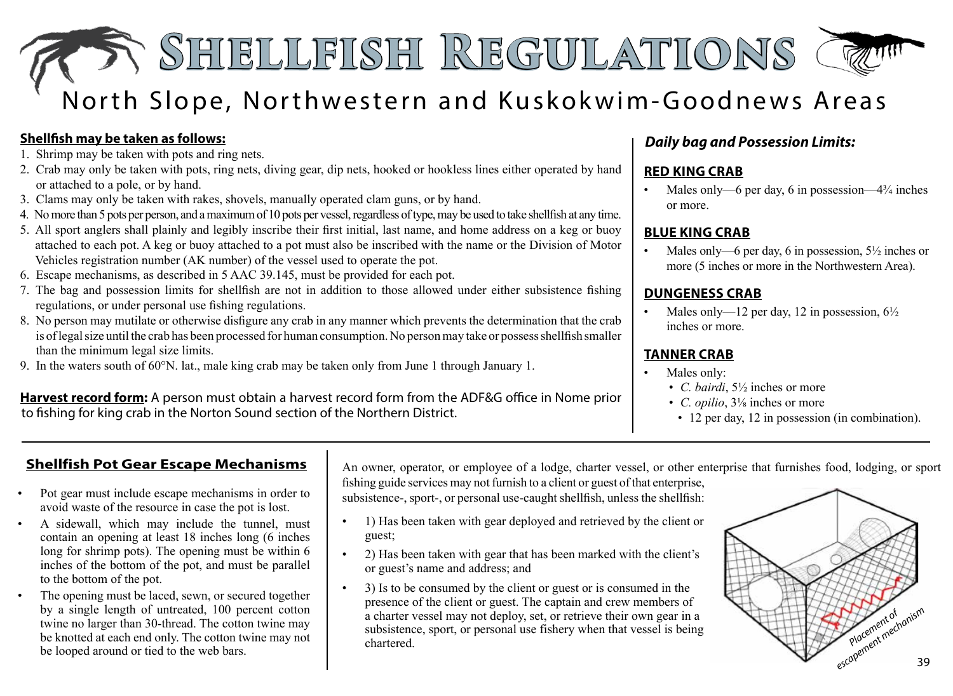# **Shellfish Regulations Shellfish Regulations** North Slope, Northwestern and Kuskokwim-Goodnews Areas

#### **Shellfish may be taken as follows:**

- 1. Shrimp may be taken with pots and ring nets.
- 2. Crab may only be taken with pots, ring nets, diving gear, dip nets, hooked or hookless lines either operated by hand or attached to a pole, or by hand.
- 3. Clams may only be taken with rakes, shovels, manually operated clam guns, or by hand.
- 4. Nomore than 5 pots per person, and amaximumof 10 pots per vessel,regardless oftype,may be used to take shellfish at any time.
- 5. All sport anglers shall plainly and legibly inscribe their first initial, last name, and home address on a keg or buoy attached to each pot. A keg or buoy attached to a pot must also be inscribed with the name or the Division of Motor Vehicles registration number (AK number) of the vessel used to operate the pot.
- 6. Escape mechanisms, as described in 5 AAC 39.145, must be provided for each pot.
- 7. The bag and possession limits for shellfish are not in addition to those allowed under either subsistence fishing regulations, or under personal use fishing regulations.
- 8. No person may mutilate or otherwise disfigure any crab in any manner which prevents the determination that the crab is of legal size until the crab has been processed for human consumption. No person may take or possess shellfish smaller than the minimum legal size limits.
- 9. In the waters south of 60°N. lat., male king crab may be taken only from June 1 through January 1.

#### **Harvest record form:** A person must obtain a harvest record form from the ADF&G office in Nome prior to fishing for king crab in the Norton Sound section of the Northern District.

# *Daily bag and Possession Limits:*

### **RED KING CRAB**

Males only—6 per day, 6 in possession—4 $\frac{3}{4}$  inches or more.

#### **BLUE KING CRAB**

Males only—6 per day, 6 in possession,  $5\frac{1}{2}$  inches or more (5 inches or more in the Northwestern Area).

#### **DUNGENESS CRAB**

Males only—12 per day, 12 in possession,  $6\frac{1}{2}$ inches or more.

#### **TANNER CRAB**

- Males only:
	- *C. bairdi*, 5½ inches or more
	- *C. opilio*, 3⅛ inches or more
	- 12 per day, 12 in possession (in combination).

## **Shellfish Pot Gear Escape Mechanisms**

- Pot gear must include escape mechanisms in order to avoid waste of the resource in case the pot is lost.
- A sidewall, which may include the tunnel, must contain an opening at least 18 inches long (6 inches long for shrimp pots). The opening must be within 6 inches of the bottom of the pot, and must be parallel to the bottom of the pot.
- The opening must be laced, sewn, or secured together by a single length of untreated, 100 percent cotton twine no larger than 30-thread. The cotton twine may be knotted at each end only. The cotton twine may not<br>be looped around or tied to the web bars.

An owner, operator, or employee of a lodge, charter vessel, or other enterprise that furnishes food, lodging, or sport

fishing guide services may not furnish to a client or guest of that enterprise, subsistence-, sport-, or personal use-caught shellfish, unless the shellfish:

- 1) Has been taken with gear deployed and retrieved by the client or guest;
- 2) Has been taken with gear that has been marked with the client's or guest's name and address; and
- 3) Is to be consumed by the client or guest or is consumed in the presence of the client or guest. The captain and crew members of a charter vessel may not deploy, set, or retrieve their own gear in a subsistence, sport, or personal use fishery when that vessel is being chartered. be knotted at each end only. The cotton twine may not a charter vessel may not deploy, set, or retrieve their own gear in a<br>be knotted at each end only. The cotton twine may not subsistence, sport, or personal use fishery